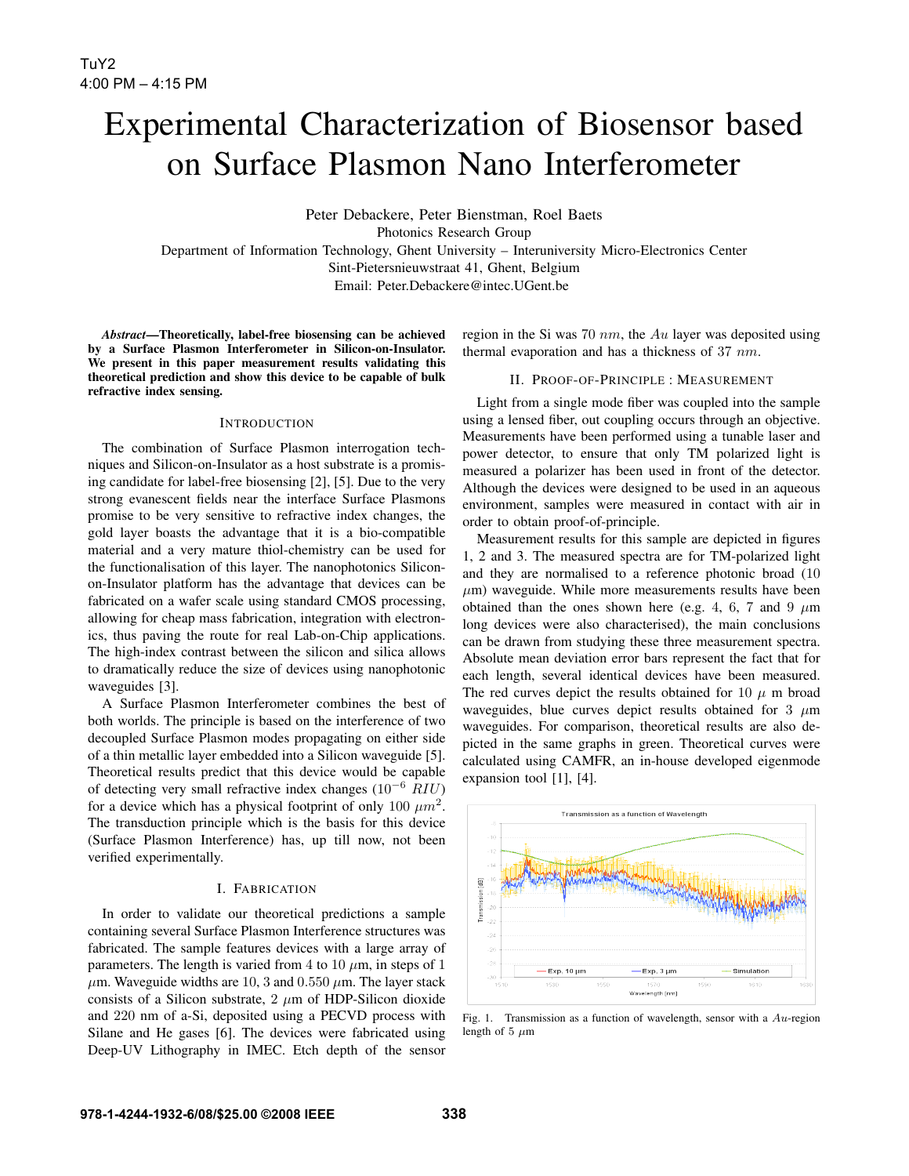# Experimental Characterization of Biosensor based on Surface Plasmon Nano Interferometer

Peter Debackere, Peter Bienstman, Roel Baets Photonics Research Group Department of Information Technology, Ghent University – Interuniversity Micro-Electronics Center Sint-Pietersnieuwstraat 41, Ghent, Belgium Email: Peter.Debackere@intec.UGent.be

*Abstract*—Theoretically, label-free biosensing can be achieved by a Surface Plasmon Interferometer in Silicon-on-Insulator. We present in this paper measurement results validating this theoretical prediction and show this device to be capable of bulk refractive index sensing.

#### **INTRODUCTION**

The combination of Surface Plasmon interrogation techniques and Silicon-on-Insulator as a host substrate is a promising candidate for label-free biosensing [2], [5]. Due to the very strong evanescent fields near the interface Surface Plasmons promise to be very sensitive to refractive index changes, the gold layer boasts the advantage that it is a bio-compatible material and a very mature thiol-chemistry can be used for the functionalisation of this layer. The nanophotonics Siliconon-Insulator platform has the advantage that devices can be fabricated on a wafer scale using standard CMOS processing, allowing for cheap mass fabrication, integration with electronics, thus paving the route for real Lab-on-Chip applications. The high-index contrast between the silicon and silica allows to dramatically reduce the size of devices using nanophotonic waveguides [3].

A Surface Plasmon Interferometer combines the best of both worlds. The principle is based on the interference of two decoupled Surface Plasmon modes propagating on either side of a thin metallic layer embedded into a Silicon waveguide [5]. Theoretical results predict that this device would be capable of detecting very small refractive index changes  $(10^{-6}$  RIU) for a device which has a physical footprint of only 100  $\mu m^2$ . The transduction principle which is the basis for this device (Surface Plasmon Interference) has, up till now, not been verified experimentally.

## I. FABRICATION

In order to validate our theoretical predictions a sample containing several Surface Plasmon Interference structures was fabricated. The sample features devices with a large array of parameters. The length is varied from 4 to 10  $\mu$ m, in steps of 1  $\mu$ m. Waveguide widths are 10, 3 and 0.550  $\mu$ m. The layer stack consists of a Silicon substrate,  $2 \mu m$  of HDP-Silicon dioxide and 220 nm of a-Si, deposited using a PECVD process with Silane and He gases [6]. The devices were fabricated using Deep-UV Lithography in IMEC. Etch depth of the sensor

region in the Si was 70  $nm$ , the Au layer was deposited using thermal evaporation and has a thickness of 37 nm.

### II. PROOF-OF-PRINCIPLE : MEASUREMENT

Light from a single mode fiber was coupled into the sample using a lensed fiber, out coupling occurs through an objective. Measurements have been performed using a tunable laser and power detector, to ensure that only TM polarized light is measured a polarizer has been used in front of the detector. Although the devices were designed to be used in an aqueous environment, samples were measured in contact with air in order to obtain proof-of-principle.

Measurement results for this sample are depicted in figures 1, 2 and 3. The measured spectra are for TM-polarized light and they are normalised to a reference photonic broad (10  $\mu$ m) waveguide. While more measurements results have been obtained than the ones shown here (e.g. 4, 6, 7 and 9  $\mu$ m) long devices were also characterised), the main conclusions can be drawn from studying these three measurement spectra. Absolute mean deviation error bars represent the fact that for each length, several identical devices have been measured. The red curves depict the results obtained for 10  $\mu$  m broad waveguides, blue curves depict results obtained for 3  $\mu$ m waveguides. For comparison, theoretical results are also depicted in the same graphs in green. Theoretical curves were calculated using CAMFR, an in-house developed eigenmode expansion tool [1], [4].



Fig. 1. Transmission as a function of wavelength, sensor with a  $Au$ -region length of 5  $\mu$ m